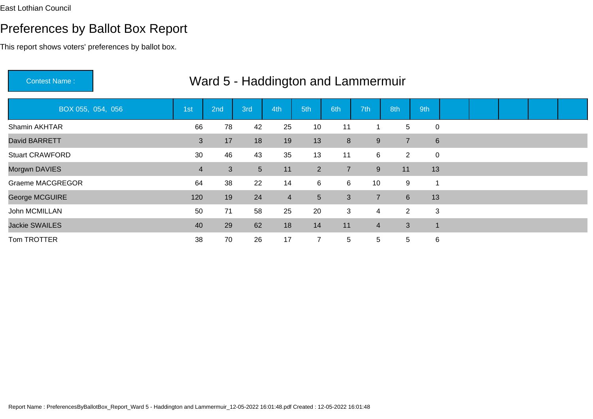| <b>Contest Name:</b>    |     |     |                |                |                | Ward 5 - Haddington and Lammermuir |                |                |             |  |  |  |
|-------------------------|-----|-----|----------------|----------------|----------------|------------------------------------|----------------|----------------|-------------|--|--|--|
| BOX 055, 054, 056       | 1st | 2nd | 3rd            | 4th            | 5th            | 6th                                | 7th            | 8th            | 9th         |  |  |  |
| Shamin AKHTAR           | 66  | 78  | 42             | 25             | 10             | 11                                 |                | 5              | $\mathbf 0$ |  |  |  |
| David BARRETT           | 3   | 17  | 18             | 19             | 13             | $\bf 8$                            | 9              | $\overline{7}$ | 6           |  |  |  |
| <b>Stuart CRAWFORD</b>  | 30  | 46  | 43             | 35             | 13             | 11                                 | 6              | $\mathbf{2}$   | $\mathbf 0$ |  |  |  |
| Morgwn DAVIES           | 4   | 3   | 5 <sup>5</sup> | 11             | $2^{\circ}$    | $\overline{7}$                     | 9              | 11             | 13          |  |  |  |
| <b>Graeme MACGREGOR</b> | 64  | 38  | 22             | 14             | 6              | 6                                  | 10             | 9              |             |  |  |  |
| George MCGUIRE          | 120 | 19  | 24             | $\overline{4}$ | 5 <sup>5</sup> | 3                                  | $\overline{7}$ | 6 <sup>1</sup> | 13          |  |  |  |
| John MCMILLAN           | 50  | 71  | 58             | 25             | 20             | 3                                  | 4              | $\mathbf{2}$   | 3           |  |  |  |
| <b>Jackie SWAILES</b>   | 40  | 29  | 62             | 18             | 14             | 11                                 | 4              | 3              | -1          |  |  |  |
| Tom TROTTER             | 38  | 70  | 26             | 17             | $\overline{7}$ | 5                                  | 5              | 5              | 6           |  |  |  |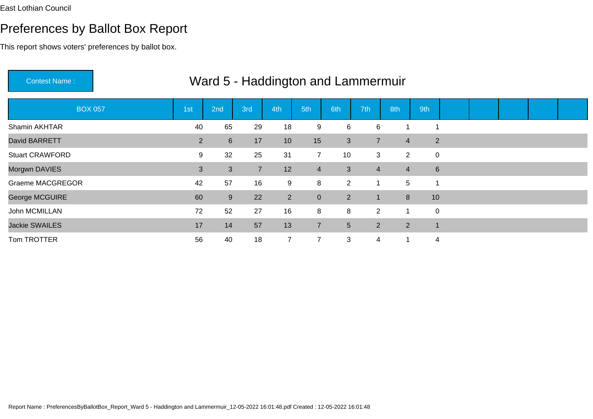## Preferences by Ballot Box Report

| <b>Contest Name:</b>    |                | Ward 5 - Haddington and Lammermuir |                |                |                |                 |                |                |                  |  |  |  |
|-------------------------|----------------|------------------------------------|----------------|----------------|----------------|-----------------|----------------|----------------|------------------|--|--|--|
| <b>BOX 057</b>          | 1st            | 2nd                                | 3rd            | 4th            | 5th            | 6th             | 7th            | 8th            | 9th              |  |  |  |
| Shamin AKHTAR           | 40             | 65                                 | 29             | 18             | 9              | 6               | 6              |                |                  |  |  |  |
| David BARRETT           | 2 <sup>1</sup> | $6 \overline{6}$                   | 17             | 10             | 15             | 3               | $\overline{7}$ | $\overline{4}$ | $2^{\circ}$      |  |  |  |
| <b>Stuart CRAWFORD</b>  | 9              | 32                                 | 25             | 31             | $\overline{7}$ | 10              | 3              | $2^{\circ}$    | 0                |  |  |  |
| Morgwn DAVIES           | 3              | 3                                  | $\overline{7}$ | 12             | $\overline{4}$ | 3               | 4              | $\overline{4}$ | $6 \overline{6}$ |  |  |  |
| <b>Graeme MACGREGOR</b> | 42             | 57                                 | 16             | 9              | 8              | $\overline{2}$  |                | 5              |                  |  |  |  |
| George MCGUIRE          | 60             | 9                                  | 22             | $2^{\circ}$    | $\mathbf 0$    | 2               | 1              | 8              | 10               |  |  |  |
| John MCMILLAN           | 72             | 52                                 | 27             | 16             | 8              | 8               | $\overline{2}$ | 1              | 0                |  |  |  |
| <b>Jackie SWAILES</b>   | 17             | 14                                 | 57             | 13             | $\overline{7}$ | $5\phantom{.0}$ | $\overline{2}$ | $2^{\circ}$    | $\mathbf 1$      |  |  |  |
| Tom TROTTER             | 56             | 40                                 | 18             | $\overline{7}$ | $\overline{7}$ | 3               | 4              | 1              | $\overline{4}$   |  |  |  |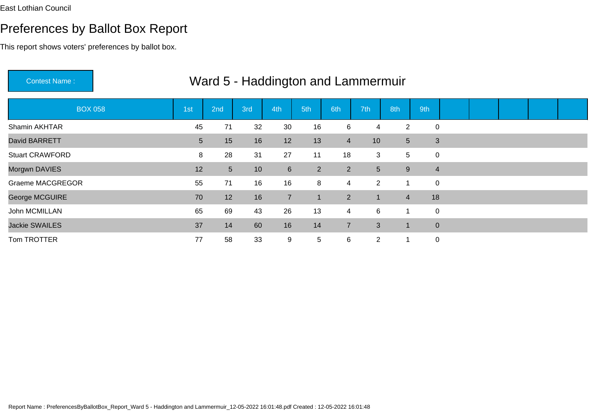## Preferences by Ballot Box Report

This report shows voters' preferences by ballot box.

|                         |                 | $\cdots$       |                 |                | <b>Prodomlyton and Earninonnair</b> |                |                |                |                |                |  |  |
|-------------------------|-----------------|----------------|-----------------|----------------|-------------------------------------|----------------|----------------|----------------|----------------|----------------|--|--|
| <b>BOX 058</b>          | 1st             | 2nd            | 3rd             | 4th            | 5th                                 | 6th            | 7th            | 8th            | 9th            |                |  |  |
| Shamin AKHTAR           | 45              | 71             | 32              | 30             | 16                                  | 6              | 4              | $\overline{2}$ | $\overline{0}$ |                |  |  |
| David BARRETT           | $5\phantom{.0}$ | 15             | 16              | 12             | 13                                  | $\overline{4}$ | 10             | 5 <sup>5</sup> |                | 3              |  |  |
| <b>Stuart CRAWFORD</b>  | 8               | 28             | 31              | 27             | 11                                  | 18             | 3              | 5              | $\mathbf 0$    |                |  |  |
| Morgwn DAVIES           | 12              | 5 <sup>5</sup> | 10 <sup>°</sup> | 6              | $\overline{2}$                      | $\overline{2}$ | 5 <sup>5</sup> | 9              |                | $\overline{4}$ |  |  |
| <b>Graeme MACGREGOR</b> | 55              | 71             | 16              | 16             | 8                                   | $\overline{4}$ | $2^{\circ}$    | $\overline{1}$ | $\mathbf 0$    |                |  |  |
| George MCGUIRE          | 70              | 12             | 16              | $\overline{7}$ | $\mathbf 1$                         | $\overline{2}$ | 1              | $\overline{4}$ | 18             |                |  |  |
| John MCMILLAN           | 65              | 69             | 43              | 26             | 13                                  | $\overline{4}$ | 6              | $\mathbf 1$    | $\mathbf 0$    |                |  |  |
| <b>Jackie SWAILES</b>   | 37              | 14             | 60              | 16             | 14                                  | $\overline{7}$ | 3              | -1             |                | $\overline{0}$ |  |  |
| Tom TROTTER             | 77              | 58             | 33              | 9              | $\overline{5}$                      | 6              | $\overline{2}$ | $\mathbf 1$    | $\mathbf 0$    |                |  |  |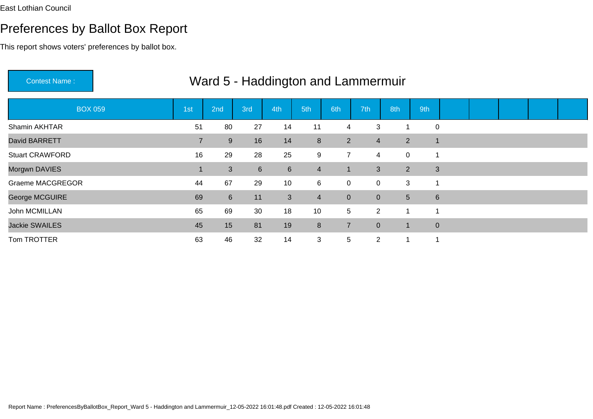## Preferences by Ballot Box Report

| <b>Contest Name:</b>    |                |                  |             | Ward 5 - Haddington and Lammermuir |                 |                |                |                |                |  |  |  |
|-------------------------|----------------|------------------|-------------|------------------------------------|-----------------|----------------|----------------|----------------|----------------|--|--|--|
| <b>BOX 059</b>          | 1st            | 2nd              | 3rd         | 4th                                | 5th             | 6th            | 7th            | 8th            | 9th            |  |  |  |
| Shamin AKHTAR           | 51             | 80               | 27          | 14                                 | 11              | 4              | 3              | 1              | $\mathbf 0$    |  |  |  |
| David BARRETT           | $\overline{7}$ | 9                | 16          | 14                                 | 8               | $2^{\circ}$    | 4              | $\overline{2}$ | $\overline{1}$ |  |  |  |
| <b>Stuart CRAWFORD</b>  | 16             | 29               | 28          | 25                                 | 9               | $\overline{7}$ | 4              | $\mathbf 0$    | 1              |  |  |  |
| Morgwn DAVIES           |                | 3                | $6^{\circ}$ | $6 \overline{6}$                   | $\overline{4}$  | $\mathbf 1$    | 3              | $\overline{2}$ | 3              |  |  |  |
| <b>Graeme MACGREGOR</b> | 44             | 67               | 29          | 10                                 | 6               | $\mathbf 0$    | 0              | 3              | 1              |  |  |  |
| George MCGUIRE          | 69             | $6 \overline{6}$ | 11          | $\mathbf{3}$                       | $\overline{4}$  | $\mathbf{0}$   | $\overline{0}$ | 5              | $6\phantom{1}$ |  |  |  |
| John MCMILLAN           | 65             | 69               | 30          | 18                                 | 10 <sup>°</sup> | 5              | $\overline{2}$ | -1             | 1              |  |  |  |
| <b>Jackie SWAILES</b>   | 45             | 15               | 81          | 19                                 | 8               | $\overline{7}$ | $\overline{0}$ | -1             | $\mathbf 0$    |  |  |  |
| Tom TROTTER             | 63             | 46               | 32          | 14                                 | 3               | 5              | $\overline{2}$ | 1              | 1              |  |  |  |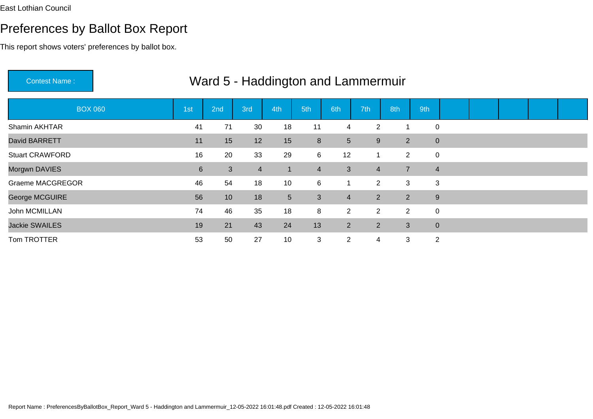## Preferences by Ballot Box Report

| <b>Contest Name:</b>    |                |                 |                |                |                | Ward 5 - Haddington and Lammermuir |                |                |                |  |  |  |
|-------------------------|----------------|-----------------|----------------|----------------|----------------|------------------------------------|----------------|----------------|----------------|--|--|--|
| <b>BOX 060</b>          | 1st            | 2nd             | 3rd            | 4th            | 5th            | 6th                                | 7th            | 8th            | 9th            |  |  |  |
| Shamin AKHTAR           | 41             | 71              | 30             | 18             | 11             | 4                                  | $\overline{2}$ | 1              | $\mathbf 0$    |  |  |  |
| David BARRETT           | 11             | 15              | 12             | 15             | 8              | $5\phantom{.0}$                    | 9              | $\overline{2}$ | $\mathbf 0$    |  |  |  |
| <b>Stuart CRAWFORD</b>  | 16             | 20              | 33             | 29             | 6              | 12                                 |                | $\overline{2}$ | $\mathbf 0$    |  |  |  |
| Morgwn DAVIES           | $6\phantom{1}$ | 3               | $\overline{4}$ | $\mathbf{1}$   | $\overline{4}$ | $\mathbf{3}$                       | $\overline{4}$ | $\overline{7}$ | $\overline{4}$ |  |  |  |
| <b>Graeme MACGREGOR</b> | 46             | 54              | 18             | 10             | 6              | 1                                  | $\overline{2}$ | 3              | 3              |  |  |  |
| George MCGUIRE          | 56             | 10 <sup>°</sup> | 18             | 5 <sup>5</sup> | 3              | $\overline{4}$                     | 2 <sup>1</sup> | $\overline{2}$ | $9\,$          |  |  |  |
| John MCMILLAN           | 74             | 46              | 35             | 18             | 8              | $\overline{2}$                     | $\overline{2}$ | $\overline{2}$ | $\mathbf 0$    |  |  |  |
| <b>Jackie SWAILES</b>   | 19             | 21              | 43             | 24             | 13             | 2                                  | $\overline{2}$ | 3              | $\mathbf 0$    |  |  |  |
| Tom TROTTER             | 53             | 50              | 27             | 10             | 3              | $\overline{2}$                     | 4              | 3              | $\overline{2}$ |  |  |  |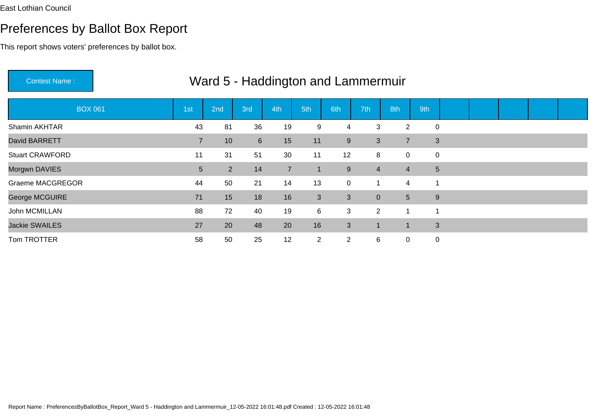## Preferences by Ballot Box Report

This report shows voters' preferences by ballot box.

|                         |                | <u>vvalu J - Haudington and Lamnemmur</u> |                 |                |                |                |                |                |     |                         |  |  |
|-------------------------|----------------|-------------------------------------------|-----------------|----------------|----------------|----------------|----------------|----------------|-----|-------------------------|--|--|
| <b>BOX 061</b>          | 1st            | 2nd                                       | 3rd             | 4th            | 5th            | 6th            | 7th            | 8th            | 9th |                         |  |  |
| Shamin AKHTAR           | 43             | 81                                        | 36              | 19             | 9              | 4              | 3              | $\overline{2}$ |     | $\mathbf 0$             |  |  |
| David BARRETT           | $\overline{7}$ | 10                                        | $6\overline{6}$ | 15             | 11             | 9              | 3              | $\overline{7}$ |     | 3                       |  |  |
| <b>Stuart CRAWFORD</b>  | 11             | 31                                        | 51              | 30             | 11             | 12             | 8              | 0              |     | 0                       |  |  |
| Morgwn DAVIES           | 5 <sup>5</sup> | 2 <sup>1</sup>                            | 14              | $\overline{7}$ | 1              | 9              | 4              | $\overline{4}$ |     | $5\phantom{.0}$         |  |  |
| <b>Graeme MACGREGOR</b> | 44             | 50                                        | 21              | 14             | 13             | $\overline{0}$ |                | $\overline{4}$ |     | $\overline{1}$          |  |  |
| George MCGUIRE          | 71             | 15                                        | 18              | 16             | 3              | 3              | $\overline{0}$ | 5 <sup>1</sup> |     | 9                       |  |  |
| John MCMILLAN           | 88             | 72                                        | 40              | 19             | $6\phantom{1}$ | 3              | $\overline{2}$ | 1              |     | $\overline{\mathbf{A}}$ |  |  |
| <b>Jackie SWAILES</b>   | 27             | 20                                        | 48              | 20             | 16             | $\mathbf{3}$   |                |                |     | 3                       |  |  |
| Tom TROTTER             | 58             | 50                                        | 25              | 12             | $\overline{2}$ | $\overline{2}$ | 6              | $\mathbf 0$    |     | $\mathbf 0$             |  |  |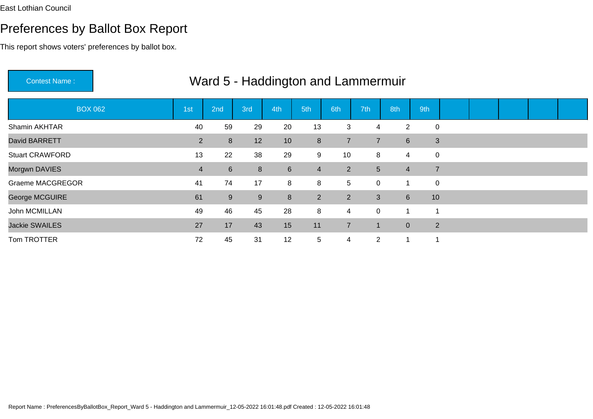## Preferences by Ballot Box Report

| <b>Contest Name:</b>   |                | Ward 5 - Haddington and Lammermuir |     |     |                |                |                |                |                          |  |  |  |
|------------------------|----------------|------------------------------------|-----|-----|----------------|----------------|----------------|----------------|--------------------------|--|--|--|
| <b>BOX 062</b>         | 1st            | 2nd                                | 3rd | 4th | 5th            | 6th            | 7th            | 8th            | 9th                      |  |  |  |
| Shamin AKHTAR          | 40             | 59                                 | 29  | 20  | 13             | 3              | 4              | $\overline{2}$ | $\mathbf 0$              |  |  |  |
| David BARRETT          | 2 <sup>1</sup> | 8                                  | 12  | 10  | 8              | $\overline{7}$ | $\overline{7}$ | $6^{\circ}$    | 3                        |  |  |  |
| <b>Stuart CRAWFORD</b> | 13             | 22                                 | 38  | 29  | 9              | 10             | 8              | 4              | $\overline{0}$           |  |  |  |
| Morgwn DAVIES          | $\overline{4}$ | $6\phantom{1}$                     | 8   | 6   | $\overline{4}$ | $\overline{2}$ | 5              | $\overline{4}$ | $\overline{7}$           |  |  |  |
| Graeme MACGREGOR       | 41             | 74                                 | 17  | 8   | 8              | 5              | 0              | $\mathbf 1$    | $\mathbf 0$              |  |  |  |
| George MCGUIRE         | 61             | 9                                  | 9   | 8   | $2^{\circ}$    | $2^{\circ}$    | 3              | $6^{\circ}$    | 10                       |  |  |  |
| John MCMILLAN          | 49             | 46                                 | 45  | 28  | 8              | $\overline{4}$ | 0              | 1              | -1                       |  |  |  |
| <b>Jackie SWAILES</b>  | 27             | 17                                 | 43  | 15  | 11             | $\overline{7}$ | 1.             | $\overline{0}$ | $\overline{2}$           |  |  |  |
| Tom TROTTER            | 72             | 45                                 | 31  | 12  | $\overline{5}$ | $\overline{4}$ | $\overline{2}$ | $\overline{1}$ | $\overline{\phantom{a}}$ |  |  |  |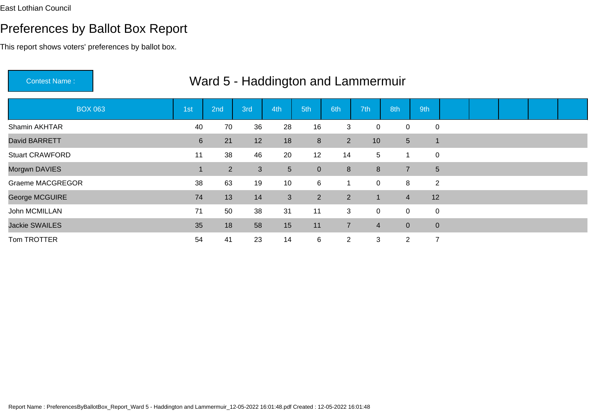This report shows voters' preferences by ballot box.

| Contest Name:           |                 | Ward 5 - Haddington and Lammermuir |                |                |                |                |             |                |                |                |  |  |
|-------------------------|-----------------|------------------------------------|----------------|----------------|----------------|----------------|-------------|----------------|----------------|----------------|--|--|
| <b>BOX 063</b>          | 1 <sub>st</sub> | 2nd                                | 3rd            | 4th            | 5th            | 6th            | 7th         | 8th            | 9th            |                |  |  |
| Shamin AKHTAR           | 40              | 70                                 | 36             | 28             | 16             | 3              | 0           | 0              | $\mathbf 0$    |                |  |  |
| David BARRETT           | $6\phantom{1}$  | 21                                 | 12             | 18             | 8              | $\overline{2}$ | 10          | 5 <sup>5</sup> | $\mathbf 1$    |                |  |  |
| <b>Stuart CRAWFORD</b>  | 11              | 38                                 | 46             | 20             | 12             | 14             | 5           | 1              | $\mathbf 0$    |                |  |  |
| Morgwn DAVIES           |                 | $\overline{2}$                     | 3 <sup>1</sup> | 5 <sup>5</sup> | $\pmb{0}$      | 8              | 8           | $\overline{7}$ |                | 5              |  |  |
| <b>Graeme MACGREGOR</b> | 38              | 63                                 | 19             | 10             | 6              | 1              | 0           | 8              |                | $\overline{2}$ |  |  |
| George MCGUIRE          | 74              | 13                                 | 14             | 3              | 2 <sup>1</sup> | $\overline{2}$ | 1           | $\overline{4}$ | 12             |                |  |  |
| John MCMILLAN           | 71              | 50                                 | 38             | 31             | 11             | 3              | $\mathbf 0$ | $\mathbf 0$    |                | 0              |  |  |
| <b>Jackie SWAILES</b>   | 35              | 18                                 | 58             | 15             | 11             | $\overline{7}$ | 4           | $\overline{0}$ |                | $\mathbf{0}$   |  |  |
| Tom TROTTER             | 54              | 41                                 | 23             | 14             | 6              | $\overline{2}$ | 3           | $\overline{2}$ | $\overline{7}$ |                |  |  |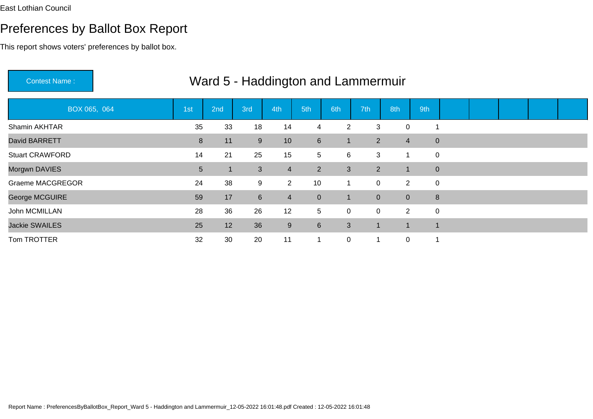This report shows voters' preferences by ballot box.

| <b>Contest Name:</b>    |     |     | Ward 5 - Haddington and Lammermuir |                  |                  |                |                |                |              |             |  |  |
|-------------------------|-----|-----|------------------------------------|------------------|------------------|----------------|----------------|----------------|--------------|-------------|--|--|
| BOX 065, 064            | 1st | 2nd | 3rd                                | 4th              | 5th              | 6th            | 7th            | 8th            | 9th          |             |  |  |
| Shamin AKHTAR           | 35  | 33  | 18                                 | 14               | $\overline{4}$   | $\overline{2}$ | 3              | 0              |              |             |  |  |
| David BARRETT           | 8   | 11  | 9                                  | 10               | $6 \overline{6}$ | 1              | 2 <sup>1</sup> | $\overline{4}$ | $\mathbf{0}$ |             |  |  |
| <b>Stuart CRAWFORD</b>  | 14  | 21  | 25                                 | 15               | 5 <sup>5</sup>   | 6              | 3              | 1              | $\mathbf 0$  |             |  |  |
| Morgwn DAVIES           | 5   |     | $\mathbf{3}$                       | $\overline{4}$   | $\overline{2}$   | 3              | $2^{\circ}$    | 1              | $\mathbf 0$  |             |  |  |
| <b>Graeme MACGREGOR</b> | 24  | 38  | 9                                  | $2^{\circ}$      | 10               | 1              | 0              | $\mathbf{2}$   |              | $\mathbf 0$ |  |  |
| George MCGUIRE          | 59  | 17  | $6\overline{6}$                    | $\overline{4}$   | $\overline{0}$   | 1              | $\overline{0}$ | $\overline{0}$ |              | 8           |  |  |
| John MCMILLAN           | 28  | 36  | 26                                 | 12               | $5\overline{)}$  | $\pmb{0}$      | $\mathbf 0$    | $2^{\circ}$    |              | $\mathbf 0$ |  |  |
| <b>Jackie SWAILES</b>   | 25  | 12  | 36                                 | $\boldsymbol{9}$ | $6 \overline{6}$ | 3              | $\blacksquare$ |                |              |             |  |  |
| Tom TROTTER             | 32  | 30  | 20                                 | 11               | 1                | 0              |                | $\mathbf{0}$   |              |             |  |  |

Report Name : PreferencesByBallotBox\_Report\_Ward 5 - Haddington and Lammermuir\_12-05-2022 16:01:48.pdf Created : 12-05-2022 16:01:48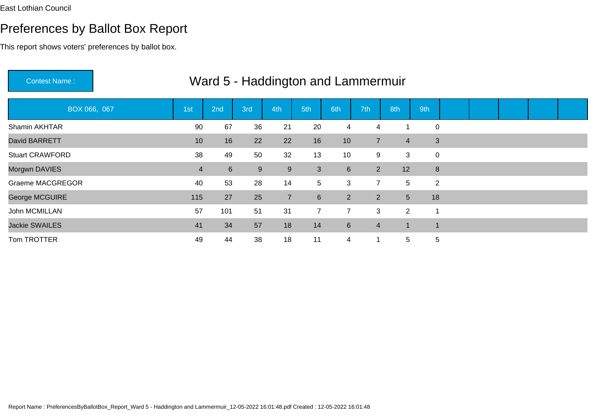| <b>Contest Name:</b>    |                | Ward 5 - Haddington and Lammermuir |     |                |                |                |                |                |             |  |  |  |
|-------------------------|----------------|------------------------------------|-----|----------------|----------------|----------------|----------------|----------------|-------------|--|--|--|
| BOX 066, 067            | 1st            | 2nd                                | 3rd | 4th            | 5th            | 6th            | 7th            | 8th            | 9th         |  |  |  |
| Shamin AKHTAR           | 90             | 67                                 | 36  | 21             | 20             | 4              | 4              |                | $\mathbf 0$ |  |  |  |
| David BARRETT           | 10             | 16                                 | 22  | 22             | 16             | 10             | $\overline{7}$ | $\overline{4}$ | 3           |  |  |  |
| <b>Stuart CRAWFORD</b>  | 38             | 49                                 | 50  | 32             | 13             | 10             | 9              | 3              | $\mathbf 0$ |  |  |  |
| Morgwn DAVIES           | $\overline{4}$ | $6 \overline{6}$                   | 9   | $9\,$          | 3              | $6\phantom{1}$ | $2^{\circ}$    | 12             | 8           |  |  |  |
| <b>Graeme MACGREGOR</b> | 40             | 53                                 | 28  | 14             | 5              | 3              | $\overline{7}$ | 5              | 2           |  |  |  |
| George MCGUIRE          | 115            | 27                                 | 25  | $\overline{7}$ | $6\phantom{1}$ | $\overline{2}$ | $2^{\circ}$    | 5 <sup>5</sup> | 18          |  |  |  |
| John MCMILLAN           | 57             | 101                                | 51  | 31             | $\overline{7}$ | $\overline{7}$ | 3              | $\overline{2}$ | -1          |  |  |  |
| <b>Jackie SWAILES</b>   | 41             | 34                                 | 57  | 18             | 14             | $6\phantom{1}$ | 4              | 1              | -1          |  |  |  |
| Tom TROTTER             | 49             | 44                                 | 38  | 18             | 11             | $\overline{4}$ | 1              | 5 <sup>5</sup> | 5           |  |  |  |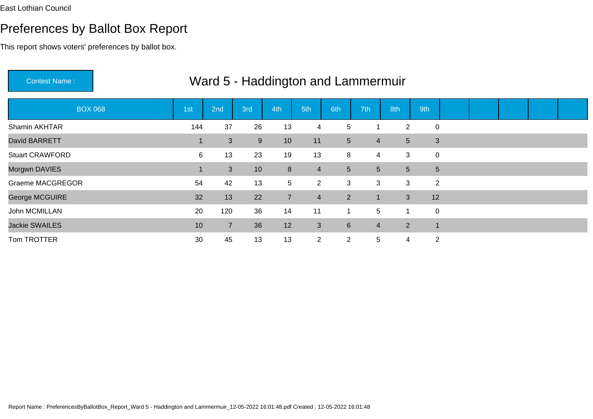## Preferences by Ballot Box Report

This report shows voters' preferences by ballot box.

| <b>BOX 068</b>          | 1st | 2nd            | 3rd | 4th            | 5th            | 6th             | 7th            | 8th                              | 9th                      |  |  |  |
|-------------------------|-----|----------------|-----|----------------|----------------|-----------------|----------------|----------------------------------|--------------------------|--|--|--|
| Shamin AKHTAR           | 144 | 37             | 26  | 13             | 4              | 5               |                | $\overline{2}$                   | $\mathbf 0$              |  |  |  |
| David BARRETT           |     | 3              | 9   | 10             | 11             | $5\overline{)}$ | $\overline{4}$ | 5 <sup>5</sup>                   | 3                        |  |  |  |
| <b>Stuart CRAWFORD</b>  | 6   | 13             | 23  | 19             | 13             | 8               | 4              | 3                                | $\mathbf 0$              |  |  |  |
| Morgwn DAVIES           |     | 3              | 10  | $\bf 8$        | $\overline{4}$ | $\sqrt{5}$      |                | 5 <sup>5</sup><br>5 <sup>5</sup> | 5                        |  |  |  |
| <b>Graeme MACGREGOR</b> | 54  | 42             | 13  | $\sqrt{5}$     | $\overline{2}$ | $\mathbf{3}$    |                | 3<br>3                           | $\overline{2}$           |  |  |  |
| <b>George MCGUIRE</b>   | 32  | 13             | 22  | $\overline{7}$ | $\overline{4}$ | 2 <sup>1</sup>  | $\mathbf 1$    | 3 <sup>2</sup>                   | 12                       |  |  |  |
| John MCMILLAN           | 20  | 120            | 36  | 14             | 11             | 1               | 5              | 1                                | $\mathbf 0$              |  |  |  |
| <b>Jackie SWAILES</b>   | 10  | $\overline{7}$ | 36  | 12             | 3              | $6 \,$          | $\overline{4}$ | $\overline{2}$                   | $\overline{\phantom{a}}$ |  |  |  |
| Tom TROTTER             | 30  | 45             | 13  | 13             | $\overline{2}$ | $\overline{2}$  | 5              | 4                                | $\overline{2}$           |  |  |  |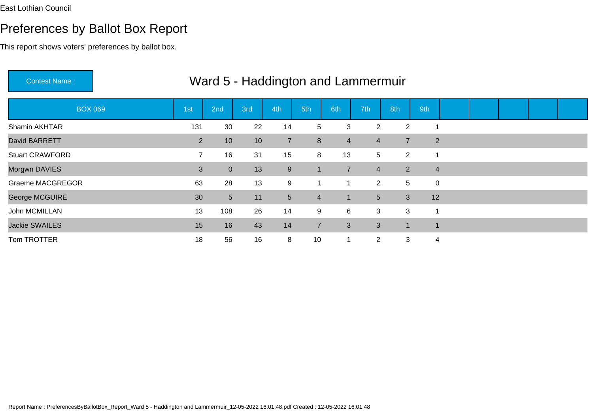## Preferences by Ballot Box Report

This report shows voters' preferences by ballot box.

| <b>BOX 069</b>         | 1st            | 2nd             | 3rd             | 4th              | 5th             | 6th            | 7th            | 8th                     | 9th                          |                |  |  |
|------------------------|----------------|-----------------|-----------------|------------------|-----------------|----------------|----------------|-------------------------|------------------------------|----------------|--|--|
| Shamin AKHTAR          | 131            | 30              | 22              | 14               | $5\phantom{.0}$ | $\mathbf{3}$   | $\overline{2}$ |                         | $\overline{2}$<br>-1         |                |  |  |
| David BARRETT          | $\overline{2}$ | 10 <sup>°</sup> | 10 <sup>°</sup> | $\overline{7}$   | 8               | $\overline{4}$ | 4              | $\overline{7}$          |                              | $\overline{2}$ |  |  |
| <b>Stuart CRAWFORD</b> | $\overline{7}$ | 16              | 31              | 15               | 8               | 13             | 5              |                         | $\overline{2}$<br>-1         |                |  |  |
| Morgwn DAVIES          | 3              | $\overline{0}$  | 13              | $\boldsymbol{9}$ | $\mathbf{1}$    | $\overline{7}$ | $\overline{4}$ |                         | $\overline{2}$               | $\overline{4}$ |  |  |
| Graeme MACGREGOR       | 63             | 28              | 13              | 9                | $\mathbf{1}$    | 1              |                | $\overline{2}$          | 5 <sup>5</sup>               | $\mathbf 0$    |  |  |
| George MCGUIRE         | 30             | $5\overline{)}$ | 11              | 5 <sup>5</sup>   | $\overline{4}$  | $\mathbf{1}$   | 5 <sup>5</sup> |                         | 12<br>3 <sup>1</sup>         |                |  |  |
| John MCMILLAN          | 13             | 108             | 26              | 14               | 9               | $6\phantom{.}$ | 3              |                         | 3<br>$\overline{\mathbf{1}}$ |                |  |  |
| <b>Jackie SWAILES</b>  | 15             | 16              | 43              | 14               | $\overline{7}$  | 3              | 3              | $\overline{\mathbf{A}}$ | $\mathbf 1$                  |                |  |  |
| Tom TROTTER            | 18             | 56              | 16              | 8                | 10              | 1              | $\overline{2}$ |                         | 3                            | 4              |  |  |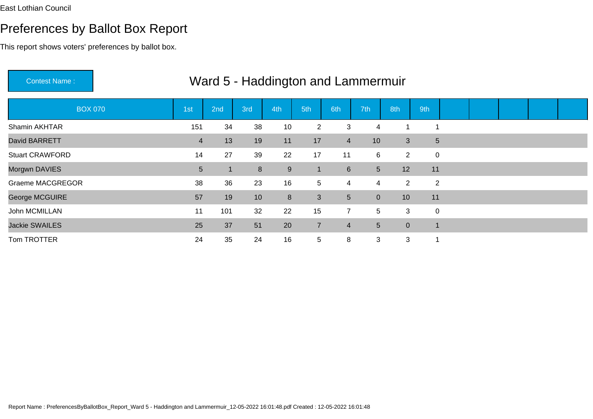## Preferences by Ballot Box Report

This report shows voters' preferences by ballot box.

|                         |                 |     |                 | $\checkmark$ |                |                 |                |                |                 |  |  |  |
|-------------------------|-----------------|-----|-----------------|--------------|----------------|-----------------|----------------|----------------|-----------------|--|--|--|
| <b>BOX 070</b>          | 1st             | 2nd | 3rd             | 4th          | 5th            | 6th             | 7th            | 8th            | 9th             |  |  |  |
| Shamin AKHTAR           | 151             | 34  | 38              | 10           | $\overline{2}$ | 3               | 4              | -4             |                 |  |  |  |
| David BARRETT           | $\overline{4}$  | 13  | 19              | 11           | 17             | $\overline{4}$  | 10             | 3              | $5\phantom{.0}$ |  |  |  |
| <b>Stuart CRAWFORD</b>  | 14              | 27  | 39              | 22           | 17             | 11              | 6              | $2^{\circ}$    | $\mathbf 0$     |  |  |  |
| Morgwn DAVIES           | $5\phantom{.0}$ |     | 8               | $9\,$        | 1              | $6\phantom{1}$  | 5 <sup>5</sup> | 12             | 11              |  |  |  |
| <b>Graeme MACGREGOR</b> | 38              | 36  | 23              | 16           | 5              | $\overline{4}$  | 4              | $\overline{2}$ | $\overline{2}$  |  |  |  |
| George MCGUIRE          | 57              | 19  | 10 <sup>°</sup> | 8            | 3              | $5\phantom{.0}$ | $\overline{0}$ | 10             | 11              |  |  |  |
| John MCMILLAN           | 11              | 101 | 32              | 22           | 15             | $\overline{7}$  | 5              | 3              | $\mathbf 0$     |  |  |  |
| <b>Jackie SWAILES</b>   | 25              | 37  | 51              | 20           | $\overline{7}$ | $\overline{4}$  | 5 <sup>5</sup> | $\overline{0}$ | $\mathbf 1$     |  |  |  |
| Tom TROTTER             | 24              | 35  | 24              | 16           | 5              | 8               | 3              | 3              |                 |  |  |  |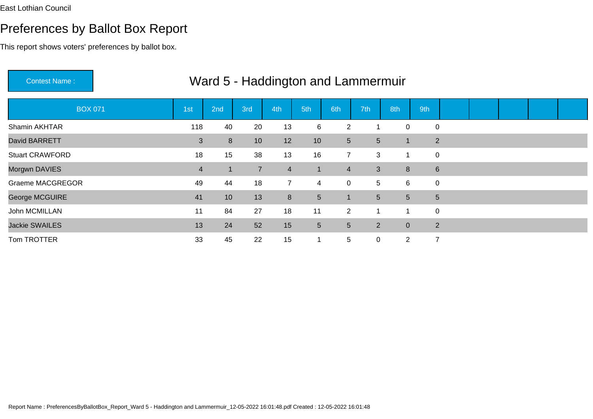## Preferences by Ballot Box Report

| <b>Contest Name:</b>    |                | Ward 5 - Haddington and Lammermuir |                |                |                 |                 |                |                |                |  |  |  |
|-------------------------|----------------|------------------------------------|----------------|----------------|-----------------|-----------------|----------------|----------------|----------------|--|--|--|
| <b>BOX 071</b>          | 1st            | 2nd                                | 3rd            | 4th            | 5th             | 6th             | 7th            | 8th            | 9th            |  |  |  |
| Shamin AKHTAR           | 118            | 40                                 | 20             | 13             | 6               | $\overline{2}$  |                | $\mathbf 0$    | 0              |  |  |  |
| David BARRETT           | 3              | 8                                  | 10             | 12             | 10              | 5 <sup>5</sup>  | $5\phantom{.}$ | $\mathbf{1}$   | $\overline{2}$ |  |  |  |
| <b>Stuart CRAWFORD</b>  | 18             | 15                                 | 38             | 13             | 16              | $\overline{7}$  | 3              | 1              | $\mathbf 0$    |  |  |  |
| Morgwn DAVIES           | $\overline{4}$ |                                    | $\overline{7}$ | $\overline{4}$ | $\blacksquare$  | $\overline{4}$  | 3              | 8              | $\,6\,$        |  |  |  |
| <b>Graeme MACGREGOR</b> | 49             | 44                                 | 18             | $\overline{7}$ | 4               | $\overline{0}$  | 5              | 6              | 0              |  |  |  |
| George MCGUIRE          | 41             | 10 <sup>°</sup>                    | 13             | 8              | $5\overline{)}$ | 1               | 5 <sup>5</sup> | 5 <sup>5</sup> | $5\phantom{.}$ |  |  |  |
| John MCMILLAN           | 11             | 84                                 | 27             | 18             | 11              | $\overline{2}$  | 1              | 1              | $\pmb{0}$      |  |  |  |
| <b>Jackie SWAILES</b>   | 13             | 24                                 | 52             | 15             | 5 <sup>5</sup>  | $5\phantom{.0}$ | $\overline{2}$ | $\overline{0}$ | $\overline{2}$ |  |  |  |
| Tom TROTTER             | 33             | 45                                 | 22             | 15             |                 | 5               | $\mathbf 0$    | $\overline{2}$ | $\overline{7}$ |  |  |  |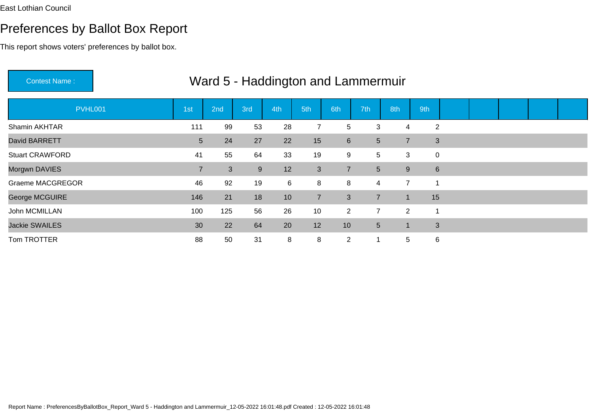This report shows voters' preferences by ballot box.

| <b>Contest Name:</b>    |                 |     | Ward 5 - Haddington and Lammermuir |     |                |                |                |                |     |                |  |  |
|-------------------------|-----------------|-----|------------------------------------|-----|----------------|----------------|----------------|----------------|-----|----------------|--|--|
| PVHL001                 | 1st             | 2nd | 3rd                                | 4th | 5th            | 6th            | 7th            | 8th            | 9th |                |  |  |
| Shamin AKHTAR           | 111             | 99  | 53                                 | 28  |                | 5              | 3              | 4              |     | 2              |  |  |
| David BARRETT           | $5\phantom{.0}$ | 24  | 27                                 | 22  | 15             | $6\phantom{1}$ | 5              | $\overline{7}$ |     | $\mathfrak{S}$ |  |  |
| <b>Stuart CRAWFORD</b>  | 41              | 55  | 64                                 | 33  | 19             | 9              | 5              | 3              |     | $\mathbf 0$    |  |  |
| Morgwn DAVIES           | $\overline{7}$  | 3   | 9                                  | 12  | 3              | $\overline{7}$ | $5\phantom{.}$ | 9              |     | $6\phantom{1}$ |  |  |
| <b>Graeme MACGREGOR</b> | 46              | 92  | 19                                 | 6   | 8              | 8              | 4              | $\overline{7}$ |     |                |  |  |
| George MCGUIRE          | 146             | 21  | 18                                 | 10  | $\overline{7}$ | $\mathbf{3}$   | $\overline{7}$ | $\mathbf{1}$   | 15  |                |  |  |
| John MCMILLAN           | 100             | 125 | 56                                 | 26  | 10             | $2^{\circ}$    | $\overline{7}$ | $\overline{2}$ | -1  |                |  |  |
| <b>Jackie SWAILES</b>   | 30              | 22  | 64                                 | 20  | 12             | 10             | 5              |                |     | $\mathfrak{S}$ |  |  |
| Tom TROTTER             | 88              | 50  | 31                                 | 8   | 8              | $\overline{2}$ | $\mathbf 1$    | 5              |     | 6              |  |  |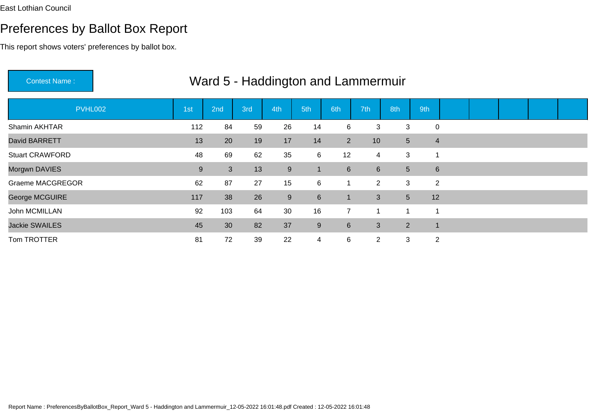This report shows voters' preferences by ballot box.

| <b>Contest Name:</b>    | Ward 5 - Haddington and Lammermuir |     |     |     |                  |                 |                  |                |                |  |  |  |  |  |
|-------------------------|------------------------------------|-----|-----|-----|------------------|-----------------|------------------|----------------|----------------|--|--|--|--|--|
| <b>PVHL002</b>          | 1st                                | 2nd | 3rd | 4th | 5th              | 6th             | 7th              | 8th            | 9th            |  |  |  |  |  |
| Shamin AKHTAR           | 112                                | 84  | 59  | 26  | 14               | 6               | 3                | 3              | $\mathbf 0$    |  |  |  |  |  |
| David BARRETT           | 13                                 | 20  | 19  | 17  | 14               | $2^{\circ}$     | 10               | 5 <sup>5</sup> | $\overline{4}$ |  |  |  |  |  |
| <b>Stuart CRAWFORD</b>  | 48                                 | 69  | 62  | 35  | 6                | 12              | 4                | 3              | -1             |  |  |  |  |  |
| Morgwn DAVIES           | 9                                  | 3   | 13  | 9   | $\mathbf 1$      | $6\phantom{1}$  | $6 \overline{6}$ | 5 <sup>5</sup> | $6\phantom{1}$ |  |  |  |  |  |
| <b>Graeme MACGREGOR</b> | 62                                 | 87  | 27  | 15  | 6                | 1               | $\overline{2}$   | 3              | 2              |  |  |  |  |  |
| George MCGUIRE          | 117                                | 38  | 26  | 9   | $6 \overline{6}$ | $\mathbf{1}$    | 3                | 5 <sup>5</sup> | 12             |  |  |  |  |  |
| John MCMILLAN           | 92                                 | 103 | 64  | 30  | 16               | $\overline{7}$  | 1                |                |                |  |  |  |  |  |
| <b>Jackie SWAILES</b>   | 45                                 | 30  | 82  | 37  | $9\,$            | $6\phantom{1}6$ | 3                | $2^{\circ}$    | -1             |  |  |  |  |  |
| Tom TROTTER             | 81                                 | 72  | 39  | 22  | $\overline{4}$   | 6               | $\overline{2}$   | 3              | $\overline{2}$ |  |  |  |  |  |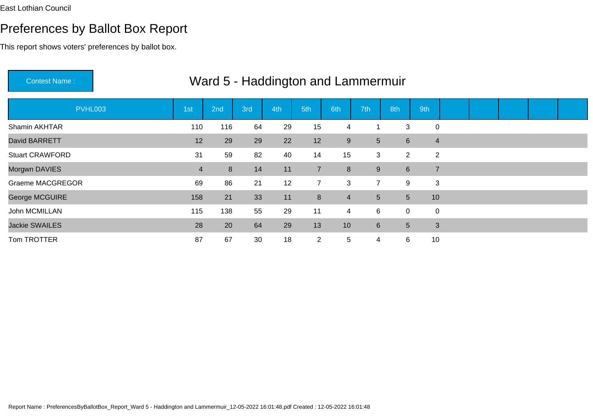## Preferences by Ballot Box Report

This report shows voters' preferences by ballot box.

|                         | <u>vvalu J - Haudington and Lamnemmun</u> |     |     |     |                |                |                  |                 |                |              |  |  |  |  |  |
|-------------------------|-------------------------------------------|-----|-----|-----|----------------|----------------|------------------|-----------------|----------------|--------------|--|--|--|--|--|
| PVHL003                 | 1st                                       | 2nd | 3rd | 4th | 5th            | 6th            | 7th              | 8th             | 9th            |              |  |  |  |  |  |
| Shamin AKHTAR           | 110                                       | 116 | 64  | 29  | 15             | $\overline{4}$ |                  | 3               |                | $\mathbf 0$  |  |  |  |  |  |
| David BARRETT           | 12                                        | 29  | 29  | 22  | 12             | 9              | 5 <sup>5</sup>   | $6\overline{6}$ | $\overline{4}$ |              |  |  |  |  |  |
| <b>Stuart CRAWFORD</b>  | 31                                        | 59  | 82  | 40  | 14             | 15             | 3                | $\overline{2}$  |                | 2            |  |  |  |  |  |
| Morgwn DAVIES           | $\overline{4}$                            | 8   | 14  | 11  | $\overline{7}$ | 8              | 9                | $6\overline{6}$ | $\overline{7}$ |              |  |  |  |  |  |
| <b>Graeme MACGREGOR</b> | 69                                        | 86  | 21  | 12  | $\overline{7}$ | 3              | $\overline{7}$   | 9               | 3              |              |  |  |  |  |  |
| George MCGUIRE          | 158                                       | 21  | 33  | 11  | $\bf 8$        | $\overline{4}$ | 5                | 5 <sup>5</sup>  | 10             |              |  |  |  |  |  |
| John MCMILLAN           | 115                                       | 138 | 55  | 29  | 11             | $\overline{4}$ | 6                | $\mathbf{0}$    | $\mathbf 0$    |              |  |  |  |  |  |
| Jackie SWAILES          | 28                                        | 20  | 64  | 29  | 13             | 10             | $6 \overline{6}$ | 5 <sup>5</sup>  |                | $\mathbf{3}$ |  |  |  |  |  |
| Tom TROTTER             | 87                                        | 67  | 30  | 18  | $\overline{2}$ | $\overline{5}$ | 4                | $6\overline{6}$ | 10             |              |  |  |  |  |  |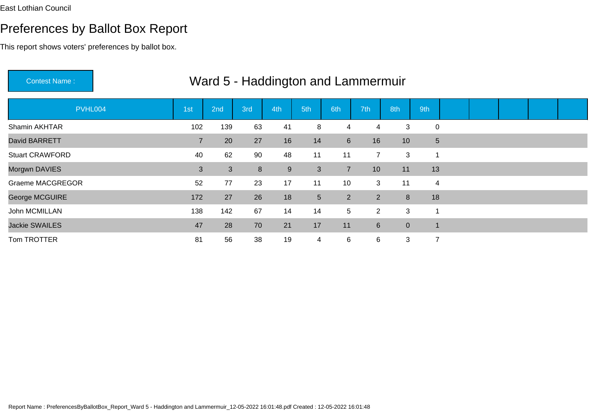This report shows voters' preferences by ballot box.

| <b>Contest Name:</b>    |                 | Ward 5 - Haddington and Lammermuir |     |     |                 |                |                |                 |                         |  |  |  |
|-------------------------|-----------------|------------------------------------|-----|-----|-----------------|----------------|----------------|-----------------|-------------------------|--|--|--|
| PVHL004                 | 1 <sub>st</sub> | 2nd                                | 3rd | 4th | 5th             | 6th            | 7th            | 8th             | 9th                     |  |  |  |
| Shamin AKHTAR           | 102             | 139                                | 63  | 41  | 8               | 4              | 4              | 3               | $\mathbf 0$             |  |  |  |
| David BARRETT           | $\overline{7}$  | 20                                 | 27  | 16  | 14              | $6\phantom{1}$ | 16             | 10 <sup>°</sup> | $\overline{5}$          |  |  |  |
| <b>Stuart CRAWFORD</b>  | 40              | 62                                 | 90  | 48  | 11              | 11             | $\overline{7}$ | 3               | $\overline{\mathbf{1}}$ |  |  |  |
| Morgwn DAVIES           | $\mathbf{3}$    | 3                                  | 8   | 9   | 3               | $\overline{7}$ | 10             | 11              | 13                      |  |  |  |
| <b>Graeme MACGREGOR</b> | 52              | 77                                 | 23  | 17  | 11              | 10             | 3              | 11              | 4                       |  |  |  |
| George MCGUIRE          | 172             | 27                                 | 26  | 18  | $5\overline{)}$ | $\overline{2}$ | $\overline{2}$ | 8               | 18                      |  |  |  |
| John MCMILLAN           | 138             | 142                                | 67  | 14  | 14              | 5              | $\overline{2}$ | 3               | -1                      |  |  |  |
| <b>Jackie SWAILES</b>   | 47              | 28                                 | 70  | 21  | 17              | 11             | $6\phantom{1}$ | $\overline{0}$  | -1                      |  |  |  |
| Tom TROTTER             | 81              | 56                                 | 38  | 19  | $\overline{4}$  | 6              | 6              | 3               | $\overline{7}$          |  |  |  |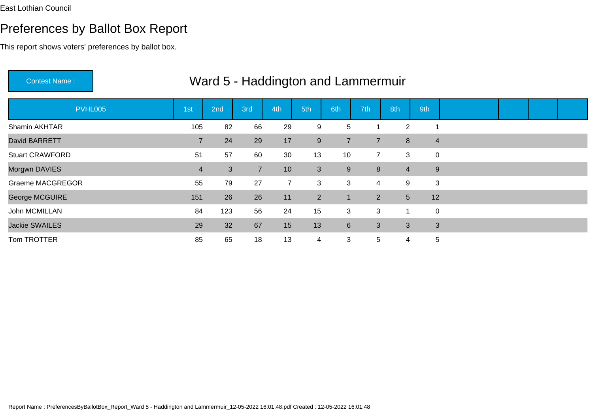## Preferences by Ballot Box Report

This report shows voters' preferences by ballot box.

|                         |                | $\mathbf{v}$ vuly v |                |                | <b>Experience Lating Contracts</b> |                 |                         |                |     |                |  |  |
|-------------------------|----------------|---------------------|----------------|----------------|------------------------------------|-----------------|-------------------------|----------------|-----|----------------|--|--|
| PVHL005                 | 1st            | 2nd                 | 3rd            | 4th            | 5th                                | 6th             | 7th                     | 8th            | 9th |                |  |  |
| Shamin AKHTAR           | 105            | 82                  | 66             | 29             | 9                                  | 5               |                         | $\overline{2}$ |     |                |  |  |
| David BARRETT           | $\overline{7}$ | 24                  | 29             | 17             | 9                                  | $\overline{7}$  | $\overline{7}$          | 8              |     | $\overline{4}$ |  |  |
| <b>Stuart CRAWFORD</b>  | 51             | 57                  | 60             | 30             | 13                                 | 10              | $\overline{7}$          | 3              |     | $\mathbf 0$    |  |  |
| Morgwn DAVIES           | $\overline{4}$ | 3                   | $\overline{7}$ | 10             | 3                                  | 9               | 8                       | $\overline{4}$ |     | 9              |  |  |
| <b>Graeme MACGREGOR</b> | 55             | 79                  | 27             | $\overline{7}$ | 3                                  | $\mathbf{3}$    | $\overline{\mathbf{4}}$ | 9              |     | 3              |  |  |
| George MCGUIRE          | 151            | 26                  | 26             | 11             | $\overline{2}$                     | $\overline{1}$  | 2 <sup>1</sup>          | 5 <sup>5</sup> | 12  |                |  |  |
| John MCMILLAN           | 84             | 123                 | 56             | 24             | 15                                 | 3               | 3                       |                |     | $\mathbf 0$    |  |  |
| <b>Jackie SWAILES</b>   | 29             | 32                  | 67             | 15             | 13                                 | $6\overline{6}$ | 3                       | $\mathbf{3}$   |     | 3              |  |  |
| Tom TROTTER             | 85             | 65                  | 18             | 13             | $\overline{4}$                     | 3               | 5                       | 4              |     | 5              |  |  |